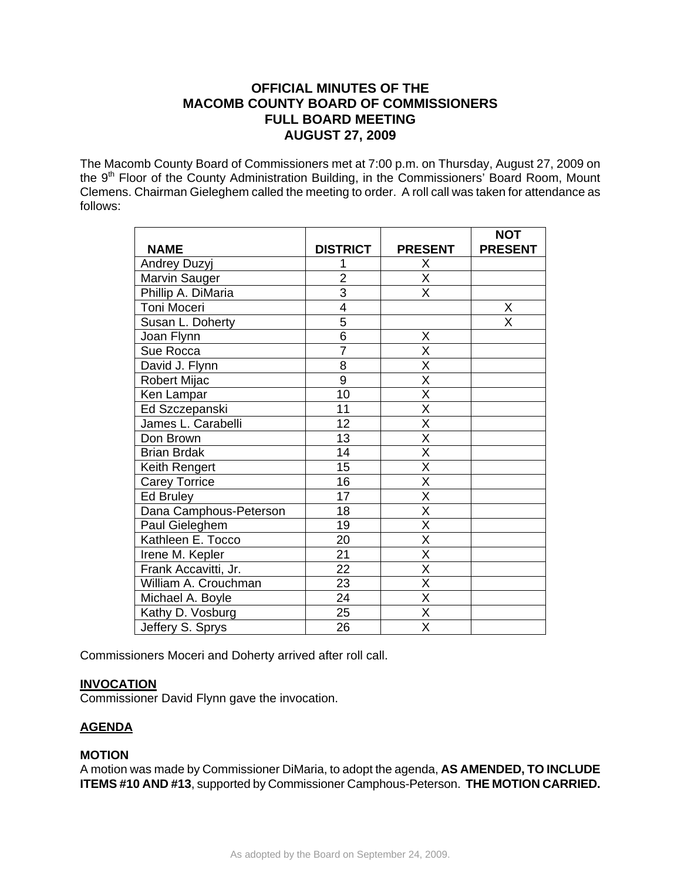# **OFFICIAL MINUTES OF THE MACOMB COUNTY BOARD OF COMMISSIONERS FULL BOARD MEETING AUGUST 27, 2009**

The Macomb County Board of Commissioners met at 7:00 p.m. on Thursday, August 27, 2009 on the 9<sup>th</sup> Floor of the County Administration Building, in the Commissioners' Board Room, Mount Clemens. Chairman Gieleghem called the meeting to order. A roll call was taken for attendance as follows:

|                        |                 |                         | <b>NOT</b>              |
|------------------------|-----------------|-------------------------|-------------------------|
| <b>NAME</b>            | <b>DISTRICT</b> | <b>PRESENT</b>          | <b>PRESENT</b>          |
| Andrey Duzyj           |                 | X                       |                         |
| Marvin Sauger          | $\overline{2}$  | $\overline{\mathsf{x}}$ |                         |
| Phillip A. DiMaria     | $\overline{3}$  | X                       |                         |
| Toni Moceri            | $\overline{4}$  |                         | X                       |
| Susan L. Doherty       | $\overline{5}$  |                         | $\overline{\mathsf{x}}$ |
| Joan Flynn             | $\overline{6}$  | X                       |                         |
| Sue Rocca              | $\overline{7}$  | $\overline{\mathsf{x}}$ |                         |
| David J. Flynn         | 8               | $\overline{\mathsf{x}}$ |                         |
| <b>Robert Mijac</b>    | $\overline{9}$  | $\overline{\mathsf{x}}$ |                         |
| Ken Lampar             | 10              | $\overline{\mathsf{x}}$ |                         |
| Ed Szczepanski         | 11              | X                       |                         |
| James L. Carabelli     | 12              | $\overline{\mathsf{x}}$ |                         |
| Don Brown              | 13              | $\overline{\mathsf{x}}$ |                         |
| <b>Brian Brdak</b>     | 14              | X                       |                         |
| Keith Rengert          | 15              | $\overline{\mathsf{x}}$ |                         |
| <b>Carey Torrice</b>   | 16              | X                       |                         |
| Ed Bruley              | $\overline{17}$ | $\overline{\mathsf{x}}$ |                         |
| Dana Camphous-Peterson | 18              | $\overline{\mathsf{x}}$ |                         |
| Paul Gieleghem         | 19              | $\overline{\mathsf{x}}$ |                         |
| Kathleen E. Tocco      | 20              | $\overline{\mathsf{x}}$ |                         |
| Irene M. Kepler        | 21              | $\overline{\mathsf{x}}$ |                         |
| Frank Accavitti, Jr.   | 22              | $\overline{\mathsf{X}}$ |                         |
| William A. Crouchman   | 23              | $\overline{\mathsf{x}}$ |                         |
| Michael A. Boyle       | 24              | $\overline{\mathsf{X}}$ |                         |
| Kathy D. Vosburg       | 25              | $\overline{\mathsf{x}}$ |                         |
| Jeffery S. Sprys       | 26              | $\overline{\mathsf{x}}$ |                         |

Commissioners Moceri and Doherty arrived after roll call.

## **INVOCATION**

Commissioner David Flynn gave the invocation.

## **AGENDA**

### **MOTION**

A motion was made by Commissioner DiMaria, to adopt the agenda, **AS AMENDED, TO INCLUDE ITEMS #10 AND #13**, supported by Commissioner Camphous-Peterson. **THE MOTION CARRIED.**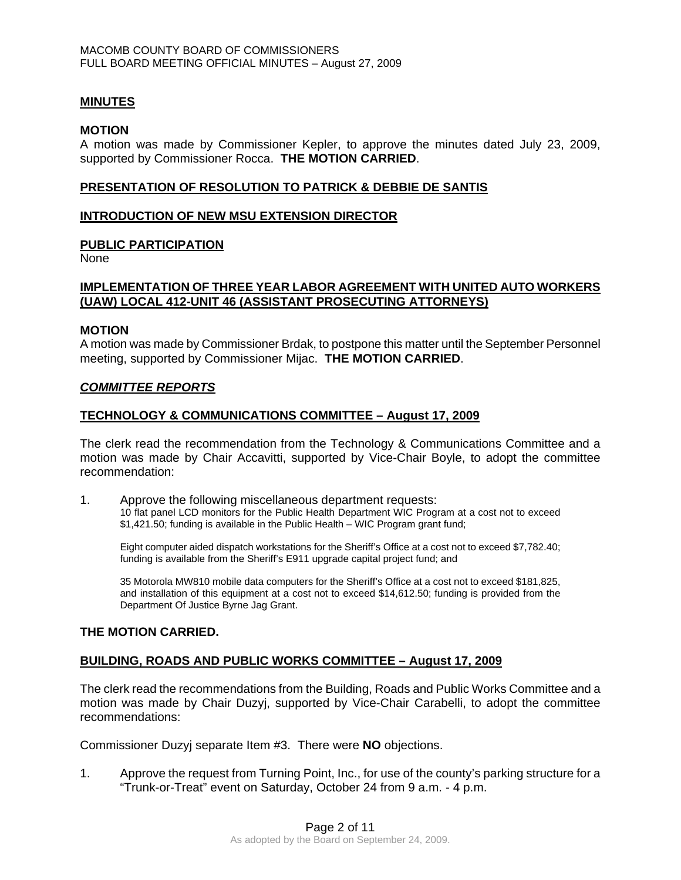### **MINUTES**

#### **MOTION**

A motion was made by Commissioner Kepler, to approve the minutes dated July 23, 2009, supported by Commissioner Rocca. **THE MOTION CARRIED**.

### **PRESENTATION OF RESOLUTION TO PATRICK & DEBBIE DE SANTIS**

#### **INTRODUCTION OF NEW MSU EXTENSION DIRECTOR**

#### **PUBLIC PARTICIPATION**

None

### **IMPLEMENTATION OF THREE YEAR LABOR AGREEMENT WITH UNITED AUTO WORKERS (UAW) LOCAL 412-UNIT 46 (ASSISTANT PROSECUTING ATTORNEYS)**

#### **MOTION**

A motion was made by Commissioner Brdak, to postpone this matter until the September Personnel meeting, supported by Commissioner Mijac. **THE MOTION CARRIED**.

#### *COMMITTEE REPORTS*

#### **TECHNOLOGY & COMMUNICATIONS COMMITTEE – August 17, 2009**

The clerk read the recommendation from the Technology & Communications Committee and a motion was made by Chair Accavitti, supported by Vice-Chair Boyle, to adopt the committee recommendation:

1. Approve the following miscellaneous department requests: 10 flat panel LCD monitors for the Public Health Department WIC Program at a cost not to exceed \$1,421.50; funding is available in the Public Health – WIC Program grant fund;

Eight computer aided dispatch workstations for the Sheriff's Office at a cost not to exceed \$7,782.40; funding is available from the Sheriff's E911 upgrade capital project fund; and

35 Motorola MW810 mobile data computers for the Sheriff's Office at a cost not to exceed \$181,825, and installation of this equipment at a cost not to exceed \$14,612.50; funding is provided from the Department Of Justice Byrne Jag Grant.

### **THE MOTION CARRIED.**

#### **BUILDING, ROADS AND PUBLIC WORKS COMMITTEE – August 17, 2009**

The clerk read the recommendations from the Building, Roads and Public Works Committee and a motion was made by Chair Duzyj, supported by Vice-Chair Carabelli, to adopt the committee recommendations:

Commissioner Duzyj separate Item #3. There were **NO** objections.

1. Approve the request from Turning Point, Inc., for use of the county's parking structure for a "Trunk-or-Treat" event on Saturday, October 24 from 9 a.m. - 4 p.m.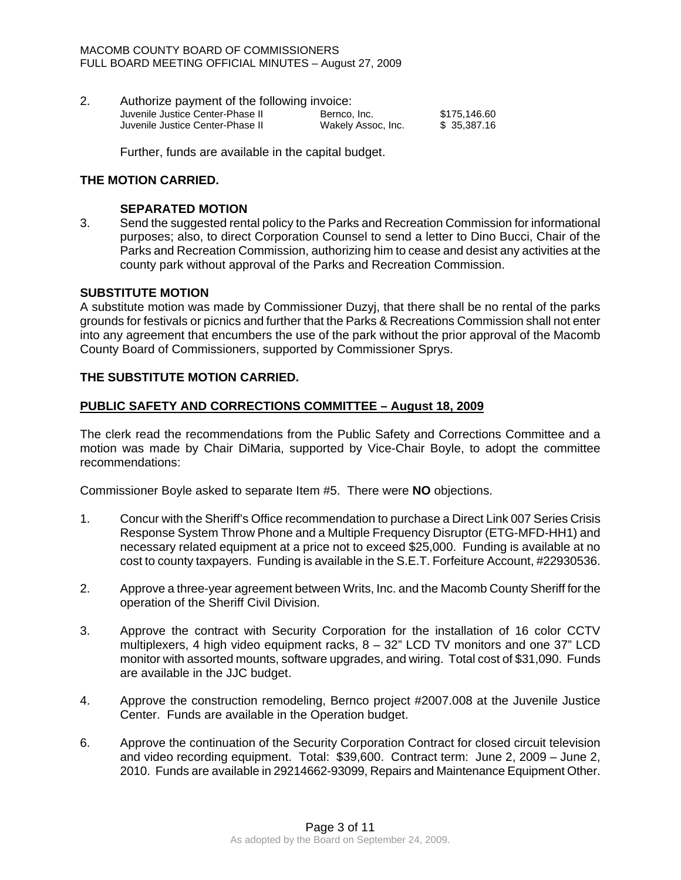#### MACOMB COUNTY BOARD OF COMMISSIONERS FULL BOARD MEETING OFFICIAL MINUTES – August 27, 2009

2. Authorize payment of the following invoice: Juvenile Justice Center-Phase II Bernco, Inc. \$175,146.60 Juvenile Justice Center-Phase II Wakely Assoc, Inc. \$ 35,387.16

Further, funds are available in the capital budget.

### **THE MOTION CARRIED.**

### **SEPARATED MOTION**

3. Send the suggested rental policy to the Parks and Recreation Commission for informational purposes; also, to direct Corporation Counsel to send a letter to Dino Bucci, Chair of the Parks and Recreation Commission, authorizing him to cease and desist any activities at the county park without approval of the Parks and Recreation Commission.

### **SUBSTITUTE MOTION**

A substitute motion was made by Commissioner Duzyj, that there shall be no rental of the parks grounds for festivals or picnics and further that the Parks & Recreations Commission shall not enter into any agreement that encumbers the use of the park without the prior approval of the Macomb County Board of Commissioners, supported by Commissioner Sprys.

### **THE SUBSTITUTE MOTION CARRIED.**

### **PUBLIC SAFETY AND CORRECTIONS COMMITTEE – August 18, 2009**

The clerk read the recommendations from the Public Safety and Corrections Committee and a motion was made by Chair DiMaria, supported by Vice-Chair Boyle, to adopt the committee recommendations:

Commissioner Boyle asked to separate Item #5. There were **NO** objections.

- 1. Concur with the Sheriff's Office recommendation to purchase a Direct Link 007 Series Crisis Response System Throw Phone and a Multiple Frequency Disruptor (ETG-MFD-HH1) and necessary related equipment at a price not to exceed \$25,000. Funding is available at no cost to county taxpayers. Funding is available in the S.E.T. Forfeiture Account, #22930536.
- 2. Approve a three-year agreement between Writs, Inc. and the Macomb County Sheriff for the operation of the Sheriff Civil Division.
- 3. Approve the contract with Security Corporation for the installation of 16 color CCTV multiplexers, 4 high video equipment racks,  $8 - 32$ " LCD TV monitors and one 37" LCD monitor with assorted mounts, software upgrades, and wiring. Total cost of \$31,090. Funds are available in the JJC budget.
- 4. Approve the construction remodeling, Bernco project #2007.008 at the Juvenile Justice Center. Funds are available in the Operation budget.
- 6. Approve the continuation of the Security Corporation Contract for closed circuit television and video recording equipment. Total: \$39,600. Contract term: June 2, 2009 – June 2, 2010. Funds are available in 29214662-93099, Repairs and Maintenance Equipment Other.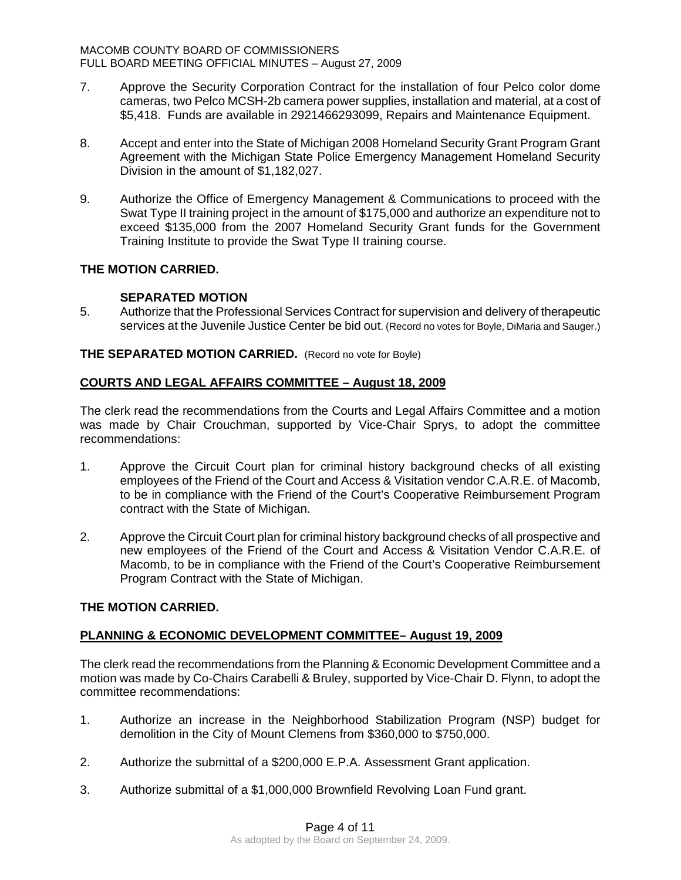- 7. Approve the Security Corporation Contract for the installation of four Pelco color dome cameras, two Pelco MCSH-2b camera power supplies, installation and material, at a cost of \$5,418. Funds are available in 2921466293099, Repairs and Maintenance Equipment.
- 8. Accept and enter into the State of Michigan 2008 Homeland Security Grant Program Grant Agreement with the Michigan State Police Emergency Management Homeland Security Division in the amount of \$1,182,027.
- 9. Authorize the Office of Emergency Management & Communications to proceed with the Swat Type II training project in the amount of \$175,000 and authorize an expenditure not to exceed \$135,000 from the 2007 Homeland Security Grant funds for the Government Training Institute to provide the Swat Type II training course.

## **SEPARATED MOTION**

5. Authorize that the Professional Services Contract for supervision and delivery of therapeutic services at the Juvenile Justice Center be bid out. (Record no votes for Boyle, DiMaria and Sauger.)

**THE SEPARATED MOTION CARRIED.** (Record no vote for Boyle)

## **COURTS AND LEGAL AFFAIRS COMMITTEE – August 18, 2009**

The clerk read the recommendations from the Courts and Legal Affairs Committee and a motion was made by Chair Crouchman, supported by Vice-Chair Sprys, to adopt the committee recommendations:

- 1. Approve the Circuit Court plan for criminal history background checks of all existing employees of the Friend of the Court and Access & Visitation vendor C.A.R.E. of Macomb, to be in compliance with the Friend of the Court's Cooperative Reimbursement Program contract with the State of Michigan.
- 2. Approve the Circuit Court plan for criminal history background checks of all prospective and new employees of the Friend of the Court and Access & Visitation Vendor C.A.R.E. of Macomb, to be in compliance with the Friend of the Court's Cooperative Reimbursement Program Contract with the State of Michigan.

## **THE MOTION CARRIED.**

## **PLANNING & ECONOMIC DEVELOPMENT COMMITTEE– August 19, 2009**

The clerk read the recommendations from the Planning & Economic Development Committee and a motion was made by Co-Chairs Carabelli & Bruley, supported by Vice-Chair D. Flynn, to adopt the committee recommendations:

- 1. Authorize an increase in the Neighborhood Stabilization Program (NSP) budget for demolition in the City of Mount Clemens from \$360,000 to \$750,000.
- 2. Authorize the submittal of a \$200,000 E.P.A. Assessment Grant application.
- 3. Authorize submittal of a \$1,000,000 Brownfield Revolving Loan Fund grant.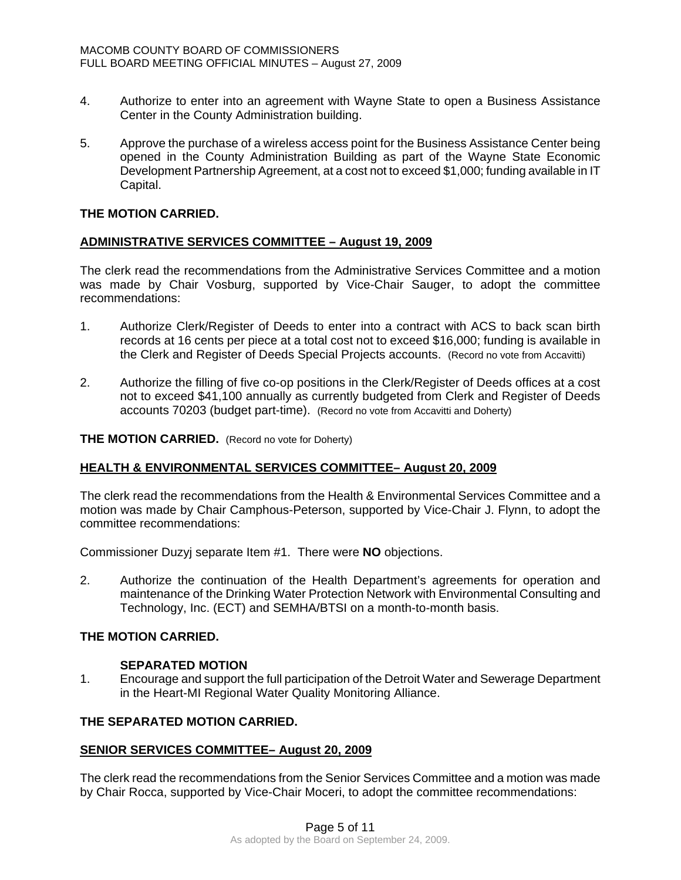- 4. Authorize to enter into an agreement with Wayne State to open a Business Assistance Center in the County Administration building.
- 5. Approve the purchase of a wireless access point for the Business Assistance Center being opened in the County Administration Building as part of the Wayne State Economic Development Partnership Agreement, at a cost not to exceed \$1,000; funding available in IT Capital.

### **ADMINISTRATIVE SERVICES COMMITTEE – August 19, 2009**

The clerk read the recommendations from the Administrative Services Committee and a motion was made by Chair Vosburg, supported by Vice-Chair Sauger, to adopt the committee recommendations:

- 1. Authorize Clerk/Register of Deeds to enter into a contract with ACS to back scan birth records at 16 cents per piece at a total cost not to exceed \$16,000; funding is available in the Clerk and Register of Deeds Special Projects accounts. (Record no vote from Accavitti)
- 2. Authorize the filling of five co-op positions in the Clerk/Register of Deeds offices at a cost not to exceed \$41,100 annually as currently budgeted from Clerk and Register of Deeds accounts 70203 (budget part-time). (Record no vote from Accavitti and Doherty)

#### **THE MOTION CARRIED.** (Record no vote for Doherty)

### **HEALTH & ENVIRONMENTAL SERVICES COMMITTEE– August 20, 2009**

The clerk read the recommendations from the Health & Environmental Services Committee and a motion was made by Chair Camphous-Peterson, supported by Vice-Chair J. Flynn, to adopt the committee recommendations:

Commissioner Duzyj separate Item #1. There were **NO** objections.

2. Authorize the continuation of the Health Department's agreements for operation and maintenance of the Drinking Water Protection Network with Environmental Consulting and Technology, Inc. (ECT) and SEMHA/BTSI on a month-to-month basis.

## **THE MOTION CARRIED.**

### **SEPARATED MOTION**

1. Encourage and support the full participation of the Detroit Water and Sewerage Department in the Heart-MI Regional Water Quality Monitoring Alliance.

### **THE SEPARATED MOTION CARRIED.**

### **SENIOR SERVICES COMMITTEE– August 20, 2009**

The clerk read the recommendations from the Senior Services Committee and a motion was made by Chair Rocca, supported by Vice-Chair Moceri, to adopt the committee recommendations: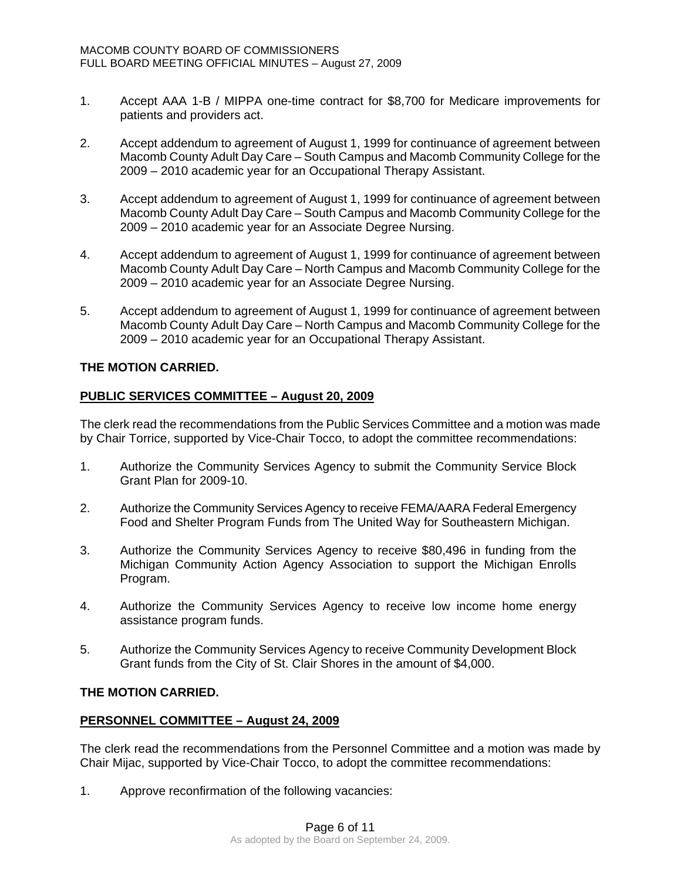- 1. Accept AAA 1-B / MIPPA one-time contract for \$8,700 for Medicare improvements for patients and providers act.
- 2. Accept addendum to agreement of August 1, 1999 for continuance of agreement between Macomb County Adult Day Care – South Campus and Macomb Community College for the 2009 – 2010 academic year for an Occupational Therapy Assistant.
- 3. Accept addendum to agreement of August 1, 1999 for continuance of agreement between Macomb County Adult Day Care – South Campus and Macomb Community College for the 2009 – 2010 academic year for an Associate Degree Nursing.
- 4. Accept addendum to agreement of August 1, 1999 for continuance of agreement between Macomb County Adult Day Care – North Campus and Macomb Community College for the 2009 – 2010 academic year for an Associate Degree Nursing.
- 5. Accept addendum to agreement of August 1, 1999 for continuance of agreement between Macomb County Adult Day Care – North Campus and Macomb Community College for the 2009 – 2010 academic year for an Occupational Therapy Assistant.

## **PUBLIC SERVICES COMMITTEE – August 20, 2009**

The clerk read the recommendations from the Public Services Committee and a motion was made by Chair Torrice, supported by Vice-Chair Tocco, to adopt the committee recommendations:

- 1. Authorize the Community Services Agency to submit the Community Service Block Grant Plan for 2009-10.
- 2. Authorize the Community Services Agency to receive FEMA/AARA Federal Emergency Food and Shelter Program Funds from The United Way for Southeastern Michigan.
- 3. Authorize the Community Services Agency to receive \$80,496 in funding from the Michigan Community Action Agency Association to support the Michigan Enrolls Program.
- 4. Authorize the Community Services Agency to receive low income home energy assistance program funds.
- 5. Authorize the Community Services Agency to receive Community Development Block Grant funds from the City of St. Clair Shores in the amount of \$4,000.

### **THE MOTION CARRIED.**

### **PERSONNEL COMMITTEE – August 24, 2009**

The clerk read the recommendations from the Personnel Committee and a motion was made by Chair Mijac, supported by Vice-Chair Tocco, to adopt the committee recommendations:

1. Approve reconfirmation of the following vacancies: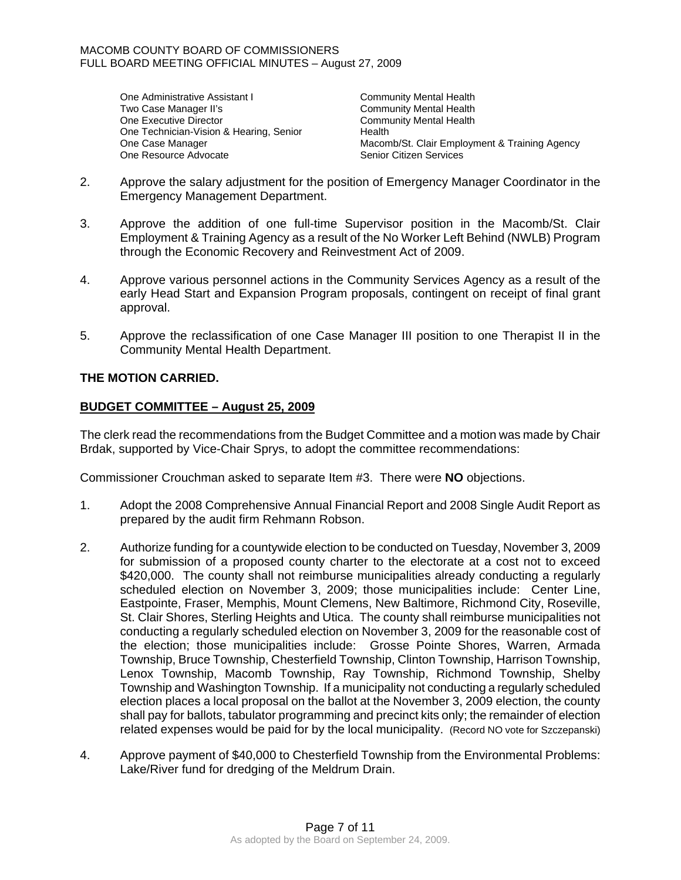One Administrative Assistant I Community Mental Health<br>Two Case Manager II's Community Mental Health One Executive Director Community Mental Health One Technician-Vision & Hearing, Senior Health One Resource Advocate Senior Citizen Services

Community Mental Health One Case Manager **Macomb/St. Clair Employment & Training Agency** Macomb/St. Clair Employment & Training Agency

- 2. Approve the salary adjustment for the position of Emergency Manager Coordinator in the Emergency Management Department.
- 3. Approve the addition of one full-time Supervisor position in the Macomb/St. Clair Employment & Training Agency as a result of the No Worker Left Behind (NWLB) Program through the Economic Recovery and Reinvestment Act of 2009.
- 4. Approve various personnel actions in the Community Services Agency as a result of the early Head Start and Expansion Program proposals, contingent on receipt of final grant approval.
- 5. Approve the reclassification of one Case Manager III position to one Therapist II in the Community Mental Health Department.

## **THE MOTION CARRIED.**

## **BUDGET COMMITTEE – August 25, 2009**

The clerk read the recommendations from the Budget Committee and a motion was made by Chair Brdak, supported by Vice-Chair Sprys, to adopt the committee recommendations:

Commissioner Crouchman asked to separate Item #3. There were **NO** objections.

- 1. Adopt the 2008 Comprehensive Annual Financial Report and 2008 Single Audit Report as prepared by the audit firm Rehmann Robson.
- 2. Authorize funding for a countywide election to be conducted on Tuesday, November 3, 2009 for submission of a proposed county charter to the electorate at a cost not to exceed \$420,000. The county shall not reimburse municipalities already conducting a regularly scheduled election on November 3, 2009; those municipalities include: Center Line, Eastpointe, Fraser, Memphis, Mount Clemens, New Baltimore, Richmond City, Roseville, St. Clair Shores, Sterling Heights and Utica. The county shall reimburse municipalities not conducting a regularly scheduled election on November 3, 2009 for the reasonable cost of the election; those municipalities include: Grosse Pointe Shores, Warren, Armada Township, Bruce Township, Chesterfield Township, Clinton Township, Harrison Township, Lenox Township, Macomb Township, Ray Township, Richmond Township, Shelby Township and Washington Township. If a municipality not conducting a regularly scheduled election places a local proposal on the ballot at the November 3, 2009 election, the county shall pay for ballots, tabulator programming and precinct kits only; the remainder of election related expenses would be paid for by the local municipality. (Record NO vote for Szczepanski)
- 4. Approve payment of \$40,000 to Chesterfield Township from the Environmental Problems: Lake/River fund for dredging of the Meldrum Drain.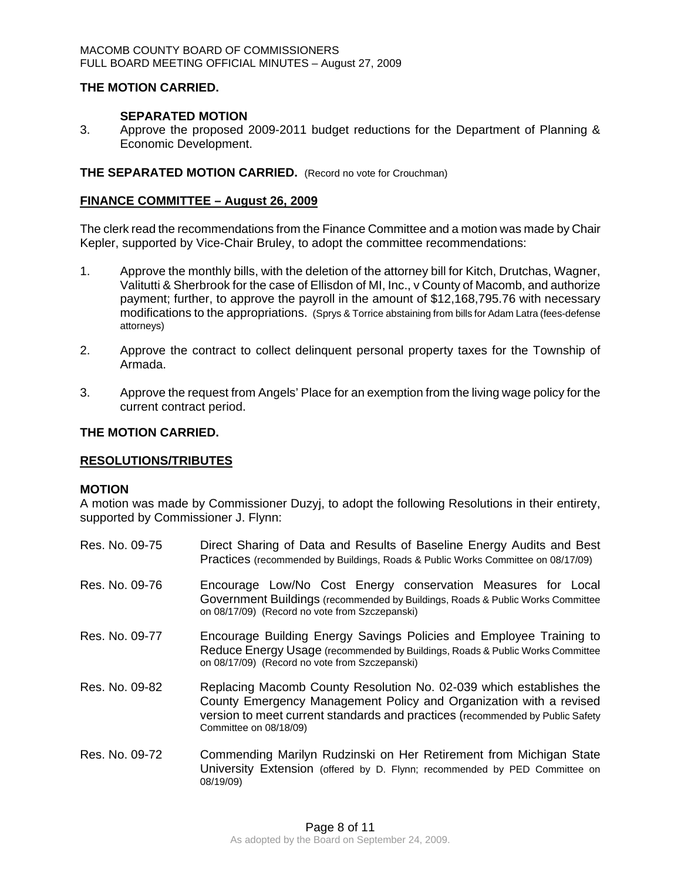### **SEPARATED MOTION**

3. Approve the proposed 2009-2011 budget reductions for the Department of Planning & Economic Development.

### **THE SEPARATED MOTION CARRIED.** (Record no vote for Crouchman)

### **FINANCE COMMITTEE – August 26, 2009**

The clerk read the recommendations from the Finance Committee and a motion was made by Chair Kepler, supported by Vice-Chair Bruley, to adopt the committee recommendations:

- 1. Approve the monthly bills, with the deletion of the attorney bill for Kitch, Drutchas, Wagner, Valitutti & Sherbrook for the case of Ellisdon of MI, Inc., v County of Macomb, and authorize payment; further, to approve the payroll in the amount of \$12,168,795.76 with necessary modifications to the appropriations. (Sprys & Torrice abstaining from bills for Adam Latra (fees-defense attorneys)
- 2. Approve the contract to collect delinquent personal property taxes for the Township of Armada.
- 3. Approve the request from Angels' Place for an exemption from the living wage policy for the current contract period.

### **THE MOTION CARRIED.**

### **RESOLUTIONS/TRIBUTES**

#### **MOTION**

A motion was made by Commissioner Duzyj, to adopt the following Resolutions in their entirety, supported by Commissioner J. Flynn:

Res. No. 09-75 Direct Sharing of Data and Results of Baseline Energy Audits and Best Practices (recommended by Buildings, Roads & Public Works Committee on 08/17/09) Res. No. 09-76 Encourage Low/No Cost Energy conservation Measures for Local Government Buildings (recommended by Buildings, Roads & Public Works Committee on 08/17/09) (Record no vote from Szczepanski) Res. No. 09-77 Encourage Building Energy Savings Policies and Employee Training to Reduce Energy Usage (recommended by Buildings, Roads & Public Works Committee on 08/17/09) (Record no vote from Szczepanski) Res. No. 09-82 Replacing Macomb County Resolution No. 02-039 which establishes the County Emergency Management Policy and Organization with a revised version to meet current standards and practices (recommended by Public Safety Committee on 08/18/09) Res. No. 09-72 Commending Marilyn Rudzinski on Her Retirement from Michigan State University Extension (offered by D. Flynn; recommended by PED Committee on 08/19/09)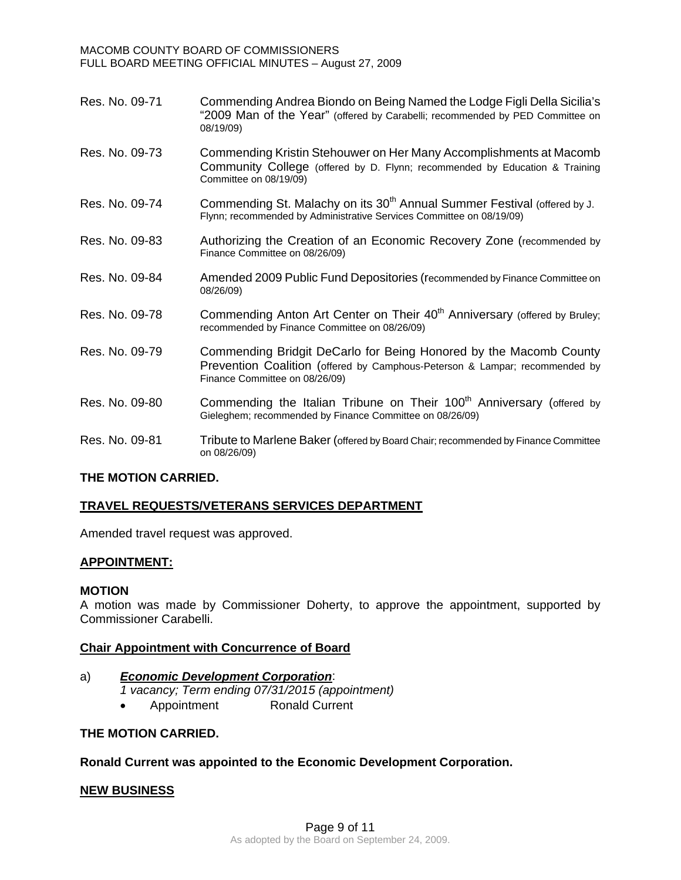MACOMB COUNTY BOARD OF COMMISSIONERS FULL BOARD MEETING OFFICIAL MINUTES – August 27, 2009

- Res. No. 09-71 Commending Andrea Biondo on Being Named the Lodge Figli Della Sicilia's "2009 Man of the Year" (offered by Carabelli; recommended by PED Committee on 08/19/09)
- Res. No. 09-73 Commending Kristin Stehouwer on Her Many Accomplishments at Macomb Community College (offered by D. Flynn; recommended by Education & Training Committee on 08/19/09)
- Res. No. 09-74 Commending St. Malachy on its 30<sup>th</sup> Annual Summer Festival (offered by J. Flynn; recommended by Administrative Services Committee on 08/19/09)
- Res. No. 09-83 Authorizing the Creation of an Economic Recovery Zone (recommended by Finance Committee on 08/26/09)
- Res. No. 09-84 Amended 2009 Public Fund Depositories (recommended by Finance Committee on 08/26/09)
- Res. No. 09-78 Commending Anton Art Center on Their 40<sup>th</sup> Anniversary (offered by Bruley: recommended by Finance Committee on 08/26/09)
- Res. No. 09-79 Commending Bridgit DeCarlo for Being Honored by the Macomb County Prevention Coalition (offered by Camphous-Peterson & Lampar; recommended by Finance Committee on 08/26/09)
- Res. No. 09-80 Commending the Italian Tribune on Their 100<sup>th</sup> Anniversary (offered by Gieleghem; recommended by Finance Committee on 08/26/09)
- Res. No. 09-81 Tribute to Marlene Baker (offered by Board Chair; recommended by Finance Committee on 08/26/09)

### **THE MOTION CARRIED.**

### **TRAVEL REQUESTS/VETERANS SERVICES DEPARTMENT**

Amended travel request was approved.

### **APPOINTMENT:**

#### **MOTION**

A motion was made by Commissioner Doherty, to approve the appointment, supported by Commissioner Carabelli.

### **Chair Appointment with Concurrence of Board**

### a)*Economic Development Corporation*:

- *1 vacancy; Term ending 07/31/2015 (appointment)* 
	- Appointment Ronald Current

#### **THE MOTION CARRIED.**

### **Ronald Current was appointed to the Economic Development Corporation.**

### **NEW BUSINESS**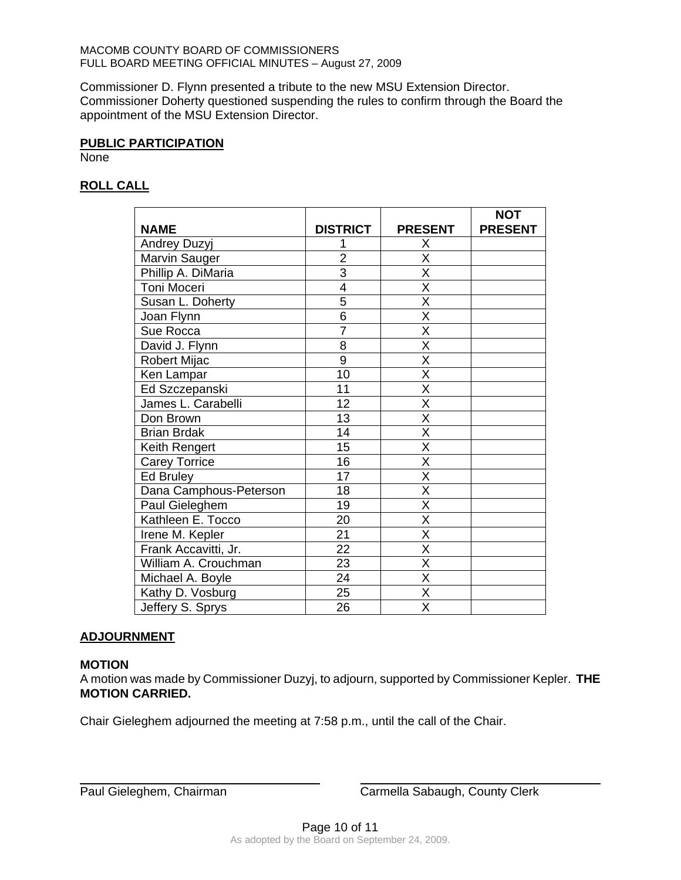Commissioner D. Flynn presented a tribute to the new MSU Extension Director. Commissioner Doherty questioned suspending the rules to confirm through the Board the appointment of the MSU Extension Director.

### **PUBLIC PARTICIPATION**

**None** 

# **ROLL CALL**

|                        |                 |                         | <b>NOT</b>     |
|------------------------|-----------------|-------------------------|----------------|
| <b>NAME</b>            | <b>DISTRICT</b> | <b>PRESENT</b>          | <b>PRESENT</b> |
| Andrey Duzyj           |                 | Χ                       |                |
| Marvin Sauger          | $\overline{2}$  | X                       |                |
| Phillip A. DiMaria     | $\overline{3}$  | $\overline{\mathsf{x}}$ |                |
| Toni Moceri            | $\overline{4}$  | $\overline{\mathsf{x}}$ |                |
| Susan L. Doherty       | 5               | X                       |                |
| Joan Flynn             | $\overline{6}$  | $\overline{\mathsf{x}}$ |                |
| Sue Rocca              | $\overline{7}$  | $\overline{\mathsf{x}}$ |                |
| David J. Flynn         | 8               | X                       |                |
| Robert Mijac           | $\overline{9}$  | $\overline{\mathsf{x}}$ |                |
| Ken Lampar             | 10              | $\overline{\mathsf{x}}$ |                |
| Ed Szczepanski         | 11              | X                       |                |
| James L. Carabelli     | 12              | X                       |                |
| Don Brown              | 13              | $\overline{\mathsf{x}}$ |                |
| <b>Brian Brdak</b>     | 14              | $\overline{\mathsf{x}}$ |                |
| Keith Rengert          | 15              | $\overline{\mathsf{X}}$ |                |
| <b>Carey Torrice</b>   | 16              | $\overline{\mathsf{x}}$ |                |
| Ed Bruley              | 17              | $\overline{\mathsf{x}}$ |                |
| Dana Camphous-Peterson | 18              | $\overline{\mathsf{x}}$ |                |
| Paul Gieleghem         | 19              | $\overline{\mathsf{x}}$ |                |
| Kathleen E. Tocco      | 20              | $\overline{\mathsf{x}}$ |                |
| Irene M. Kepler        | 21              | $\overline{\mathsf{x}}$ |                |
| Frank Accavitti, Jr.   | $\overline{22}$ | $\overline{\mathsf{x}}$ |                |
| William A. Crouchman   | 23              | X                       |                |
| Michael A. Boyle       | 24              | Χ                       |                |
| Kathy D. Vosburg       | 25              | $\overline{\mathsf{x}}$ |                |
| Jeffery S. Sprys       | 26              | $\overline{\mathsf{x}}$ |                |

## **ADJOURNMENT**

### **MOTION**

 $\overline{a}$ 

A motion was made by Commissioner Duzyj, to adjourn, supported by Commissioner Kepler. **THE MOTION CARRIED.** 

Chair Gieleghem adjourned the meeting at 7:58 p.m., until the call of the Chair.

Paul Gieleghem, Chairman Carmella Sabaugh, County Clerk